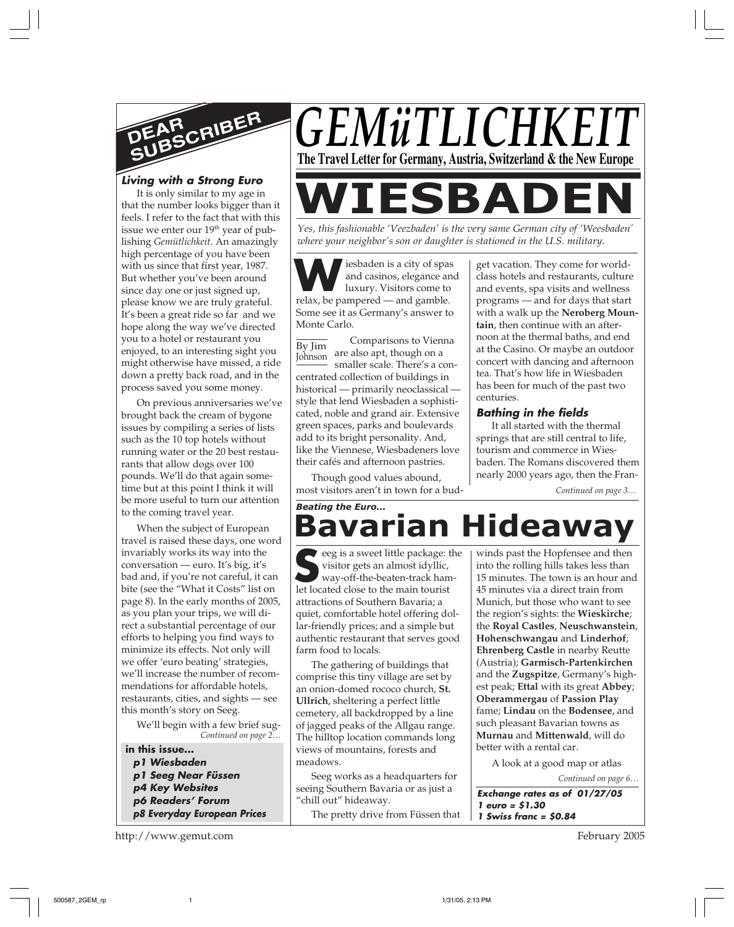

#### **Living with a Strong Euro**

It is only similar to my age in that the number looks bigger than it feels. I refer to the fact that with this issue we enter our 19<sup>th</sup> year of publishing *Gemütlichkeit*. An amazingly high percentage of you have been with us since that first year, 1987. But whether you've been around since day one or just signed up, please know we are truly grateful. It's been a great ride so far and we hope along the way we've directed you to a hotel or restaurant you enjoyed, to an interesting sight you might otherwise have missed, a ride down a pretty back road, and in the process saved you some money.

On previous anniversaries we've brought back the cream of bygone issues by compiling a series of lists such as the 10 top hotels without running water or the 20 best restaurants that allow dogs over 100 pounds. We'll do that again sometime but at this point I think it will be more useful to turn our attention to the coming travel year.

When the subject of European travel is raised these days, one word invariably works its way into the conversation — euro. It's big, it's bad and, if you're not careful, it can bite (see the "What it Costs" list on page 8). In the early months of 2005, as you plan your trips, we will direct a substantial percentage of our efforts to helping you find ways to minimize its effects. Not only will we offer 'euro beating' strategies, we'll increase the number of recommendations for affordable hotels, restaurants, cities, and sights — see this month's story on Seeg.

*Continued on page 2…* We'll begin with a few brief sug-

**in this issue... p1 Wiesbaden p1 Seeg Near Füssen p4 Key Websites p6 Readers' Forum p8 Everyday European Prices**

http://www.gemut.com

# *GEMüTLICHKE* **The Travel Letter for Germany, Austria, Switzerland & the New Europe**

# **WIESBADE**

*Yes, this fashionable 'Veezbaden' is the very same German city of 'Weesbaden' where your neighbor's son or daughter is stationed in the U.S. military.*

**W** iesbaden is a city of span and casinos, elegance are luxury. Visitors come to relax, be pampered — and gamble. iesbaden is a city of spas and casinos, elegance and luxury. Visitors come to Some see it as Germany's answer to Monte Carlo.

By Jim Johnson Comparisons to Vienna are also apt, though on a smaller scale. There's a concentrated collection of buildings in historical — primarily neoclassical style that lend Wiesbaden a sophisticated, noble and grand air. Extensive green spaces, parks and boulevards add to its bright personality. And, like the Viennese, Wiesbadeners love their cafés and afternoon pastries.

Though good values abound, most visitors aren't in town for a bud-

get vacation. They come for worldclass hotels and restaurants, culture and events, spa visits and wellness programs — and for days that start with a walk up the **Neroberg Mountain**, then continue with an afternoon at the thermal baths, and end at the Casino. Or maybe an outdoor concert with dancing and afternoon tea. That's how life in Wiesbaden has been for much of the past two centuries.

#### **Bathing in the fields**

It all started with the thermal springs that are still central to life, tourism and commerce in Wiesbaden. The Romans discovered them nearly 2000 years ago, then the Fran-

*Continued on page 3…*

## **Bavarian Hideaway** *Beating the Euro...*

eeg is a sweet little package: the visitor gets an almost idyllic, way-off-the-beaten-track hameeg is a sweet little package:<br>
visitor gets an almost idyllic,<br>
way-off-the-beaten-track han<br>
let located close to the main tourist attractions of Southern Bavaria; a quiet, comfortable hotel offering dollar-friendly prices; and a simple but authentic restaurant that serves good farm food to locals.

The gathering of buildings that comprise this tiny village are set by an onion-domed rococo church, **St. Ullrich**, sheltering a perfect little cemetery, all backdropped by a line of jagged peaks of the Allgau range. The hilltop location commands long views of mountains, forests and meadows.

Seeg works as a headquarters for seeing Southern Bavaria or as just a "chill out" hideaway. The pretty drive from Füssen that winds past the Hopfensee and then into the rolling hills takes less than 15 minutes. The town is an hour and 45 minutes via a direct train from Munich, but those who want to see the region's sights: the **Wieskirche**; the **Royal Castles**, **Neuschwanstein**, **Hohenschwangau** and **Linderhof**; **Ehrenberg Castle** in nearby Reutte (Austria); **Garmisch-Partenkirchen** and the **Zugspitze**, Germany's highest peak; **Ettal** with its great **Abbey**; **Oberammergau** of **Passion Play** fame; **Lindau** on the **Bodensee**, and such pleasant Bavarian towns as **Murnau** and **Mittenwald**, will do better with a rental car.

A look at a good map or atlas

*Continued on page 6…*

**Exchange rates as of 01/27/05 1 euro = \$1.30 1 Swiss franc = \$0.84**

February 2005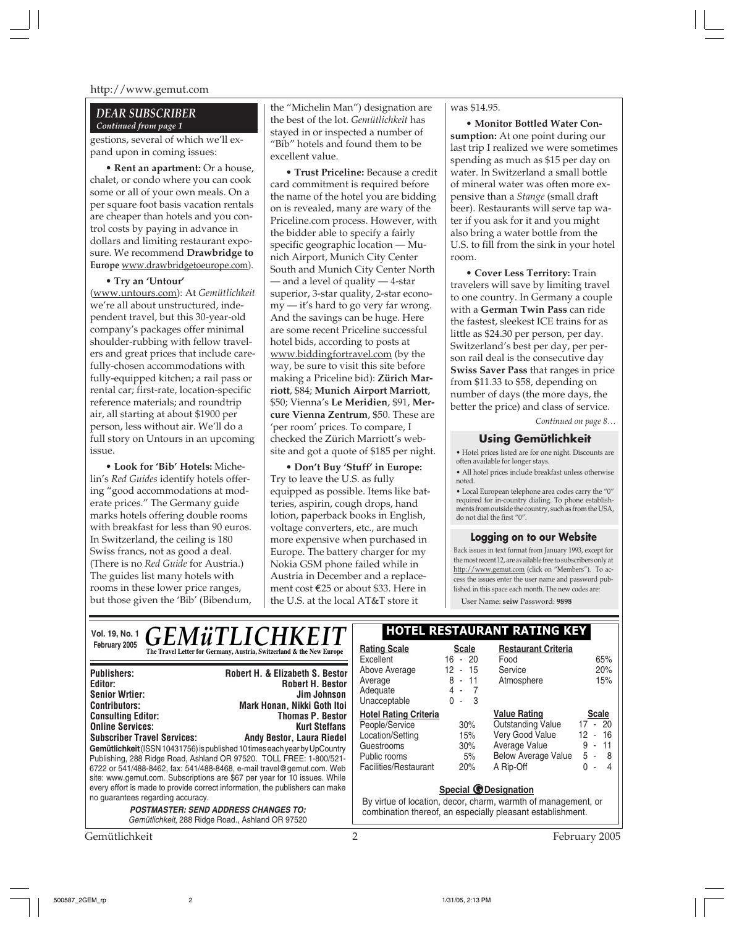#### *DEAR SUBSCRIBER Continued from page 1*

gestions, several of which we'll expand upon in coming issues:

**• Rent an apartment:** Or a house, chalet, or condo where you can cook some or all of your own meals. On a per square foot basis vacation rentals are cheaper than hotels and you control costs by paying in advance in dollars and limiting restaurant exposure. We recommend **Drawbridge to Europe** www.drawbridgetoeurope.com).

**• Try an 'Untour'** (www.untours.com): At *Gemütlichkeit* we're all about unstructured, independent travel, but this 30-year-old company's packages offer minimal shoulder-rubbing with fellow travelers and great prices that include carefully-chosen accommodations with fully-equipped kitchen; a rail pass or rental car; first-rate, location-specific reference materials; and roundtrip air, all starting at about \$1900 per person, less without air. We'll do a full story on Untours in an upcoming issue.

**• Look for 'Bib' Hotels:** Michelin's *Red Guides* identify hotels offering "good accommodations at moderate prices." The Germany guide marks hotels offering double rooms with breakfast for less than 90 euros. In Switzerland, the ceiling is 180 Swiss francs, not as good a deal. (There is no *Red Guide* for Austria.) The guides list many hotels with rooms in these lower price ranges, but those given the 'Bib' (Bibendum,

the "Michelin Man") designation are the best of the lot. *Gemütlichkeit* has stayed in or inspected a number of "Bib" hotels and found them to be excellent value.

**• Trust Priceline:** Because a credit card commitment is required before the name of the hotel you are bidding on is revealed, many are wary of the Priceline.com process. However, with the bidder able to specify a fairly specific geographic location — Munich Airport, Munich City Center South and Munich City Center North — and a level of quality — 4-star superior, 3-star quality, 2-star economy — it's hard to go very far wrong. And the savings can be huge. Here are some recent Priceline successful hotel bids, according to posts at www.biddingfortravel.com (by the way, be sure to visit this site before making a Priceline bid): **Zürich Marriott**, \$84; **Munich Airport Marriott**, \$50; Vienna's **Le Meridien**, \$91, **Mercure Vienna Zentrum**, \$50. These are 'per room' prices. To compare, I checked the Zürich Marriott's website and got a quote of \$185 per night.

**• Don't Buy 'Stuff' in Europe:** Try to leave the U.S. as fully equipped as possible. Items like batteries, aspirin, cough drops, hand lotion, paperback books in English, voltage converters, etc., are much more expensive when purchased in Europe. The battery charger for my Nokia GSM phone failed while in Austria in December and a replacement cost E25 or about \$33. Here in the U.S. at the local AT&T store it

#### was \$14.95.

**• Monitor Bottled Water Consumption:** At one point during our last trip I realized we were sometimes spending as much as \$15 per day on water. In Switzerland a small bottle of mineral water was often more expensive than a *Stange* (small draft beer). Restaurants will serve tap water if you ask for it and you might also bring a water bottle from the U.S. to fill from the sink in your hotel room.

**• Cover Less Territory:** Train travelers will save by limiting travel to one country. In Germany a couple with a **German Twin Pass** can ride the fastest, sleekest ICE trains for as little as \$24.30 per person, per day. Switzerland's best per day, per person rail deal is the consecutive day **Swiss Saver Pass** that ranges in price from \$11.33 to \$58, depending on number of days (the more days, the better the price) and class of service.

*Continued on page 8…*

#### **Using Gemütlichkeit**

• Hotel prices listed are for one night. Discounts are often available for longer stays.

• All hotel prices include breakfast unless otherwise noted.

• Local European telephone area codes carry the "0" required for in-country dialing. To phone establishments from outside the country, such as from the USA, do not dial the first "0".

#### **Logging on to our Website**

Back issues in text format from January 1993, except for the most recent 12, are available free to subscribers only at http://www.gemut.com (click on "Members"). To access the issues enter the user name and password published in this space each month. The new codes are:

User Name: **seiw** Password: **9898**

| <b>GEMüTLICHKEIT</b><br>Vol. 19, No. 1                                                                                                                                                                                                                                                                                                                                                                |                                                                                                          | <b>HOTEL RESTAURANT RATING KEY</b>                                                                                                                         |                                                |                                                                                                                                |                                                                                                  |
|-------------------------------------------------------------------------------------------------------------------------------------------------------------------------------------------------------------------------------------------------------------------------------------------------------------------------------------------------------------------------------------------------------|----------------------------------------------------------------------------------------------------------|------------------------------------------------------------------------------------------------------------------------------------------------------------|------------------------------------------------|--------------------------------------------------------------------------------------------------------------------------------|--------------------------------------------------------------------------------------------------|
| February 2005                                                                                                                                                                                                                                                                                                                                                                                         | The Travel Letter for Germany, Austria, Switzerland & the New Europe                                     | <b>Rating Scale</b><br>Excellent                                                                                                                           | <b>Scale</b><br>$16 - 20$                      | <b>Restaurant Criteria</b><br>Food                                                                                             | 65%                                                                                              |
| <b>Publishers:</b><br>Editor:<br><b>Senior Wrtier:</b><br><b>Contributors:</b>                                                                                                                                                                                                                                                                                                                        | Robert H. & Elizabeth S. Bestor<br><b>Robert H. Bestor</b><br>Jim Johnson<br>Mark Honan, Nikki Goth Itoi | Above Average<br>Average<br>Adequate<br>Unacceptable                                                                                                       | 12 - 15<br>$8 - 11$<br>4 -<br>3<br>0<br>$\sim$ | Service<br>Atmosphere                                                                                                          | 20%<br>15%                                                                                       |
| <b>Consulting Editor:</b><br><b>Online Services:</b><br><b>Subscriber Travel Services:</b><br>Gemütlichkeit (ISSN 10431756) is published 10 times each year by UpCountry<br>Publishing, 288 Ridge Road, Ashland OR 97520. TOLL FREE: 1-800/521-<br>6722 or 541/488-8462, fax: 541/488-8468, e-mail travel@gemut.com. Web<br>site: www.gemut.com. Subscriptions are \$67 per year for 10 issues. While | <b>Thomas P. Bestor</b><br><b>Kurt Steffans</b><br><b>Andy Bestor, Laura Riedel</b>                      | <b>Hotel Rating Criteria</b><br>People/Service<br>Location/Setting<br>Guestrooms<br>Public rooms<br>Facilities/Restaurant                                  | 30%<br>15%<br>$30\%$<br>5%<br>20%              | <b>Value Rating</b><br><b>Outstanding Value</b><br>Very Good Value<br>Average Value<br><b>Below Average Value</b><br>A Rip-Off | <b>Scale</b><br>17 - 20<br>$-16$<br>12<br>11<br>9<br>$\sim$<br>5 - 8<br>0<br>4<br>$\blacksquare$ |
| every effort is made to provide correct information, the publishers can make<br>no guarantees regarding accuracy.<br><b>POSTMASTER: SEND ADDRESS CHANGES TO:</b><br>Gemütlichkeit, 288 Ridge Road., Ashland OR 97520                                                                                                                                                                                  |                                                                                                          | <b>Special @Designation</b><br>By virtue of location, decor, charm, warmth of management, or<br>combination thereof, an especially pleasant establishment. |                                                |                                                                                                                                |                                                                                                  |
| Gemütlichkeit                                                                                                                                                                                                                                                                                                                                                                                         |                                                                                                          | $\mathcal{P}$                                                                                                                                              |                                                |                                                                                                                                | February 2005                                                                                    |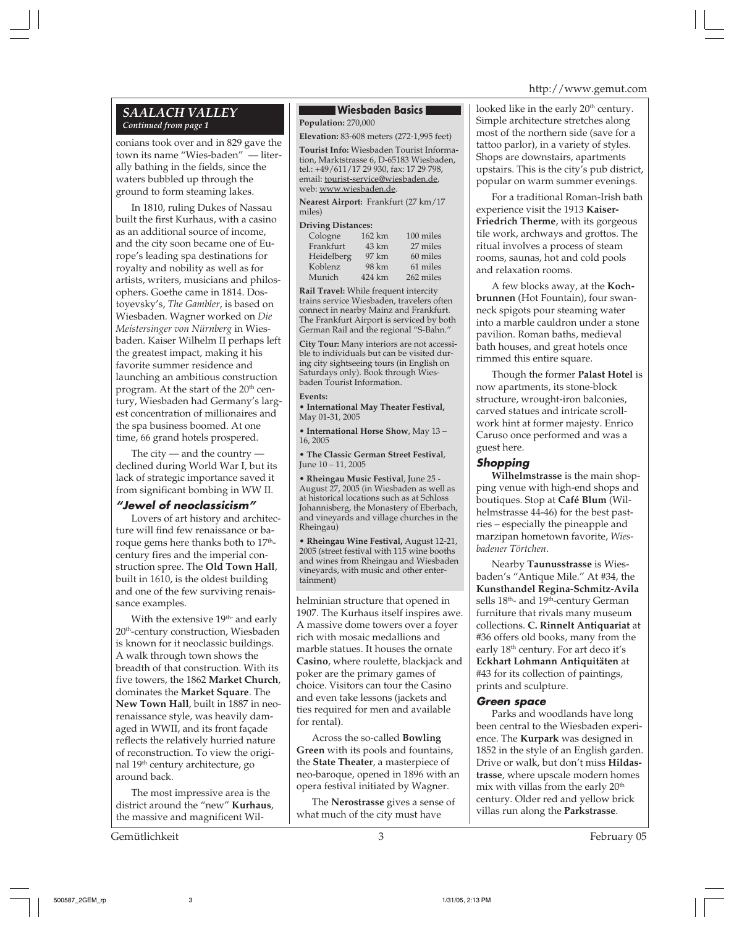#### *SAALACH VALLEY Continued from page 1*

conians took over and in 829 gave the town its name "Wies-baden" — literally bathing in the fields, since the waters bubbled up through the ground to form steaming lakes.

In 1810, ruling Dukes of Nassau built the first Kurhaus, with a casino as an additional source of income, and the city soon became one of Europe's leading spa destinations for royalty and nobility as well as for artists, writers, musicians and philosophers. Goethe came in 1814. Dostoyevsky's, *The Gambler*, is based on Wiesbaden. Wagner worked on *Die Meistersinger von Nürnberg* in Wiesbaden. Kaiser Wilhelm II perhaps left the greatest impact, making it his favorite summer residence and launching an ambitious construction program. At the start of the 20<sup>th</sup> century, Wiesbaden had Germany's largest concentration of millionaires and the spa business boomed. At one time, 66 grand hotels prospered.

The city  $-$  and the country  $$ declined during World War I, but its lack of strategic importance saved it from significant bombing in WW II.

#### **"Jewel of neoclassicism"**

Lovers of art history and architecture will find few renaissance or baroque gems here thanks both to 17<sup>th</sup>century fires and the imperial construction spree. The **Old Town Hall**, built in 1610, is the oldest building and one of the few surviving renaissance examples.

With the extensive 19<sup>th-</sup> and early 20<sup>th</sup>-century construction, Wiesbaden is known for it neoclassic buildings. A walk through town shows the breadth of that construction. With its five towers, the 1862 **Market Church**, dominates the **Market Square**. The **New Town Hall**, built in 1887 in neorenaissance style, was heavily damaged in WWII, and its front façade reflects the relatively hurried nature of reconstruction. To view the original 19th century architecture, go around back.

The most impressive area is the district around the "new" **Kurhaus**, the massive and magnificent Wil-

Gemütlichkeit 3 February 05

#### **Wiesbaden Basics**

**Population:** 270,000

**Elevation:** 83-608 meters (272-1,995 feet)

**Tourist Info:** Wiesbaden Tourist Information, Marktstrasse 6, D-65183 Wiesbaden, tel.: +49/611/17 29 930, fax: 17 29 798, email: tourist-service@wiesbaden.de, web: www.wiesbaden.de.

**Nearest Airport:** Frankfurt (27 km/17 miles)

#### **Driving Distances:**

| Cologne    | 162 km | 100 miles |
|------------|--------|-----------|
| Frankfurt  | 43 km  | 27 miles  |
| Heidelberg | 97 km  | 60 miles  |
| Koblenz    | 98 km  | 61 miles  |
| Munich     | 424 km | 262 miles |

**Rail Travel:** While frequent intercity trains service Wiesbaden, travelers often connect in nearby Mainz and Frankfurt. The Frankfurt Airport is serviced by both German Rail and the regional "S-Bahn."

**City Tour:** Many interiors are not accessible to individuals but can be visited during city sightseeing tours (in English on Saturdays only). Book through Wiesbaden Tourist Information.

#### **Events:**

**• International May Theater Festival,** May 01-31, 2005

**• International Horse Show**, May 13 – 16, 2005

**• The Classic German Street Festival**, June 10 – 11, 2005

**• Rheingau Music Festiva**l, June 25 - August 27, 2005 (in Wiesbaden as well as at historical locations such as at Schloss Johannisberg, the Monastery of Eberbach, and vineyards and village churches in the Rheingau)

**• Rheingau Wine Festival,** August 12-21, 2005 (street festival with 115 wine booths and wines from Rheingau and Wiesbaden vineyards, with music and other entertainment)

helminian structure that opened in 1907. The Kurhaus itself inspires awe. A massive dome towers over a foyer rich with mosaic medallions and marble statues. It houses the ornate **Casino**, where roulette, blackjack and poker are the primary games of choice. Visitors can tour the Casino and even take lessons (jackets and ties required for men and available for rental).

Across the so-called **Bowling Green** with its pools and fountains, the **State Theater**, a masterpiece of neo-baroque, opened in 1896 with an opera festival initiated by Wagner.

The **Nerostrasse** gives a sense of what much of the city must have

looked like in the early 20<sup>th</sup> century. Simple architecture stretches along most of the northern side (save for a tattoo parlor), in a variety of styles. Shops are downstairs, apartments upstairs. This is the city's pub district, popular on warm summer evenings.

For a traditional Roman-Irish bath experience visit the 1913 **Kaiser-Friedrich Therme**, with its gorgeous tile work, archways and grottos. The ritual involves a process of steam rooms, saunas, hot and cold pools and relaxation rooms.

A few blocks away, at the **Kochbrunnen** (Hot Fountain), four swanneck spigots pour steaming water into a marble cauldron under a stone pavilion. Roman baths, medieval bath houses, and great hotels once rimmed this entire square.

Though the former **Palast Hotel** is now apartments, its stone-block structure, wrought-iron balconies, carved statues and intricate scrollwork hint at former majesty. Enrico Caruso once performed and was a guest here.

#### **Shopping**

**Wilhelmstrasse** is the main shopping venue with high-end shops and boutiques. Stop at **Café Blum** (Wilhelmstrasse 44-46) for the best pastries – especially the pineapple and marzipan hometown favorite, *Wiesbadener Törtchen*.

Nearby **Taunusstrasse** is Wiesbaden's "Antique Mile." At #34, the **Kunsthandel Regina-Schmitz-Avila** sells 18<sup>th</sup>- and 19<sup>th</sup>-century German furniture that rivals many museum collections. **C. Rinnelt Antiquariat** at #36 offers old books, many from the early 18<sup>th</sup> century. For art deco it's **Eckhart Lohmann Antiquitäten** at #43 for its collection of paintings, prints and sculpture.

#### **Green space**

Parks and woodlands have long been central to the Wiesbaden experience. The **Kurpark** was designed in 1852 in the style of an English garden. Drive or walk, but don't miss **Hildastrasse**, where upscale modern homes mix with villas from the early  $20<sup>th</sup>$ century. Older red and yellow brick villas run along the **Parkstrasse**.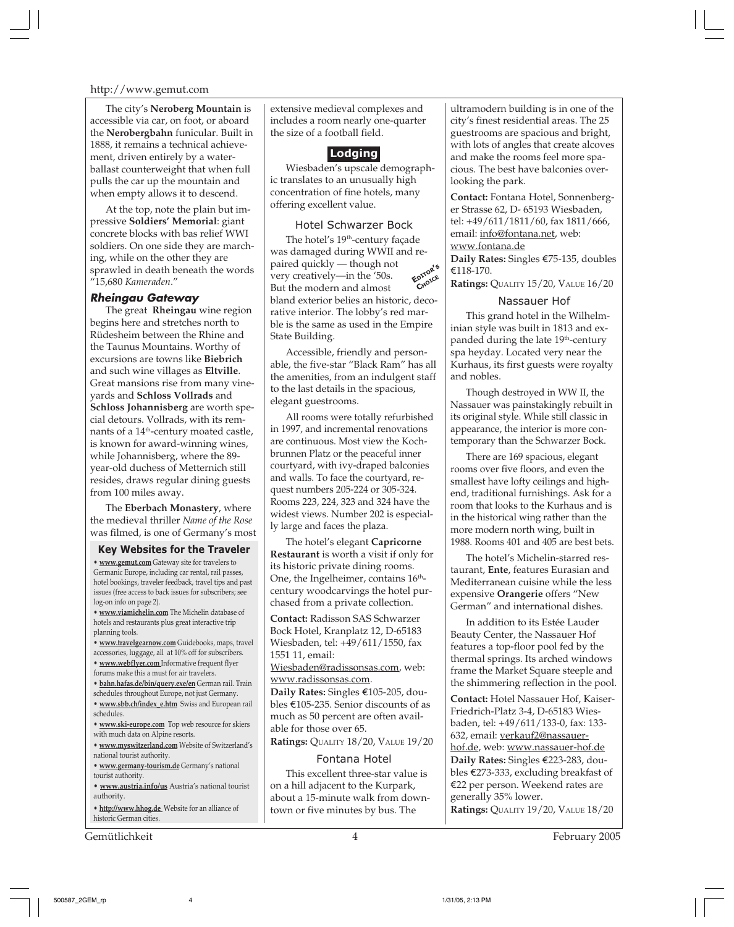The city's **Neroberg Mountain** is accessible via car, on foot, or aboard the **Nerobergbahn** funicular. Built in 1888, it remains a technical achievement, driven entirely by a waterballast counterweight that when full pulls the car up the mountain and when empty allows it to descend.

At the top, note the plain but impressive **Soldiers' Memorial**: giant concrete blocks with bas relief WWI soldiers. On one side they are marching, while on the other they are sprawled in death beneath the words "15,680 *Kameraden*."

#### **Rheingau Gateway**

The great **Rheingau** wine region begins here and stretches north to Rüdesheim between the Rhine and the Taunus Mountains. Worthy of excursions are towns like **Biebrich** and such wine villages as **Eltville**. Great mansions rise from many vineyards and **Schloss Vollrads** and **Schloss Johannisberg** are worth special detours. Vollrads, with its remnants of a 14<sup>th</sup>-century moated castle, is known for award-winning wines, while Johannisberg, where the 89 year-old duchess of Metternich still resides, draws regular dining guests from 100 miles away.

The **Eberbach Monastery**, where the medieval thriller *Name of the Rose* was filmed, is one of Germany's most

#### **Key Websites for the Traveler**

**• www.gemut.com** Gateway site for travelers to Germanic Europe, including car rental, rail passes, hotel bookings, traveler feedback, travel tips and past issues (free access to back issues for subscribers; see log-on info on page 2).

**• www.viamichelin.com** The Michelin database of hotels and restaurants plus great interactive trip planning tools.

**• www.travelgearnow.com** Guidebooks, maps, travel accessories, luggage, all at 10% off for subscribers.

**• www.webflyer.com** Informative frequent flyer forums make this a must for air travelers.

**• bahn.hafas.de/bin/query.exe/en** German rail. Train

- schedules throughout Europe, not just Germany. **• www.sbb.ch/index\_e.htm** Swiss and European rail
- schedules.

**• www.ski-europe.com** Top web resource for skiers with much data on Alpine resorts.

**• www.myswitzerland.com** Website of Switzerland's national tourist authority.

**• www.germany-tourism.de** Germany's national tourist authority.

**• www.austria.info/us** Austria's national tourist authority.

**• http://www.hhog.de** Website for an alliance of historic German cities.

Gemütlichkeit 4 February 2005

extensive medieval complexes and includes a room nearly one-quarter the size of a football field.



Wiesbaden's upscale demographic translates to an unusually high concentration of fine hotels, many offering excellent value.

#### Hotel Schwarzer Bock

**EDITOR'<sup>S</sup> CHOICE** The hotel's 19<sup>th</sup>-century façade was damaged during WWII and repaired quickly — though not very creatively—in the '50s. But the modern and almost bland exterior belies an historic, decorative interior. The lobby's red marble is the same as used in the Empire State Building.

Accessible, friendly and personable, the five-star "Black Ram" has all the amenities, from an indulgent staff to the last details in the spacious, elegant guestrooms.

All rooms were totally refurbished in 1997, and incremental renovations are continuous. Most view the Kochbrunnen Platz or the peaceful inner courtyard, with ivy-draped balconies and walls. To face the courtyard, request numbers 205-224 or 305-324. Rooms 223, 224, 323 and 324 have the widest views. Number 202 is especially large and faces the plaza.

The hotel's elegant **Capricorne Restaurant** is worth a visit if only for its historic private dining rooms. One, the Ingelheimer, contains 16<sup>th</sup>century woodcarvings the hotel purchased from a private collection.

**Contact:** Radisson SAS Schwarzer Bock Hotel, Kranplatz 12, D-65183 Wiesbaden, tel: +49/611/1550, fax 1551 11, email:

Wiesbaden@radissonsas.com, web: www.radissonsas.com.

**Daily Rates:** Singles €105-205, doubles e105-235. Senior discounts of as much as 50 percent are often available for those over 65.

**Ratings:** QUALITY 18/20, VALUE 19/20

#### Fontana Hotel

This excellent three-star value is on a hill adjacent to the Kurpark, about a 15-minute walk from downtown or five minutes by bus. The

ultramodern building is in one of the city's finest residential areas. The 25 guestrooms are spacious and bright, with lots of angles that create alcoves and make the rooms feel more spacious. The best have balconies overlooking the park.

**Contact:** Fontana Hotel, Sonnenberger Strasse 62, D- 65193 Wiesbaden, tel: +49/611/1811/60, fax 1811/666, email: info@fontana.net, web: www.fontana.de

Daily Rates: Singles €75-135, doubles e118-170.

**Ratings:** QUALITY 15/20, VALUE 16/20

#### Nassauer Hof

This grand hotel in the Wilhelminian style was built in 1813 and expanded during the late 19<sup>th</sup>-century spa heyday. Located very near the Kurhaus, its first guests were royalty and nobles.

Though destroyed in WW II, the Nassauer was painstakingly rebuilt in its original style. While still classic in appearance, the interior is more contemporary than the Schwarzer Bock.

There are 169 spacious, elegant rooms over five floors, and even the smallest have lofty ceilings and highend, traditional furnishings. Ask for a room that looks to the Kurhaus and is in the historical wing rather than the more modern north wing, built in 1988. Rooms 401 and 405 are best bets.

The hotel's Michelin-starred restaurant, **Ente**, features Eurasian and Mediterranean cuisine while the less expensive **Orangerie** offers "New German" and international dishes.

In addition to its Estée Lauder Beauty Center, the Nassauer Hof features a top-floor pool fed by the thermal springs. Its arched windows frame the Market Square steeple and the shimmering reflection in the pool.

**Contact:** Hotel Nassauer Hof, Kaiser-Friedrich-Platz 3-4, D-65183 Wiesbaden, tel: +49/611/133-0, fax: 133- 632, email: verkauf2@nassauerhof.de, web: www.nassauer-hof.de Daily Rates: Singles €223-283, doubles  $E273-333$ , excluding breakfast of €22 per person. Weekend rates are generally 35% lower.

**Ratings:** QUALITY 19/20, VALUE 18/20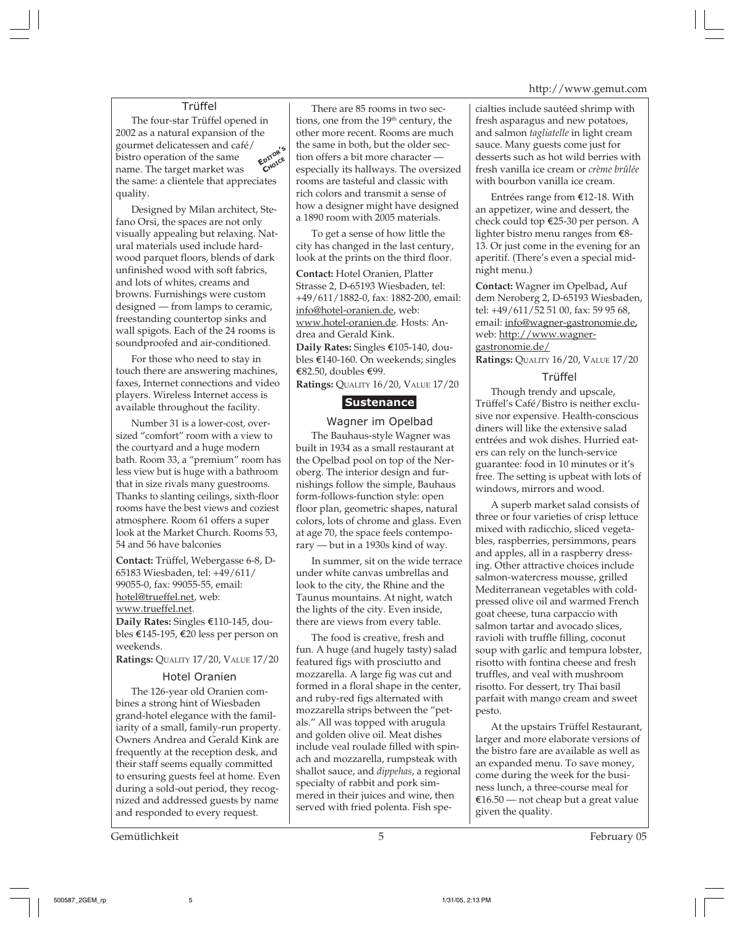#### Trüffel

The four-star Trüffel opened in 2002 as a natural expansion of the gourmet delicatessen and café/ bistro operation of the same name. The target market was the same: a clientele that appreciates quality. **EDITOR'<sup>S</sup> CHOICE**

Designed by Milan architect, Stefano Orsi, the spaces are not only visually appealing but relaxing. Natural materials used include hardwood parquet floors, blends of dark unfinished wood with soft fabrics, and lots of whites, creams and browns. Furnishings were custom designed — from lamps to ceramic, freestanding countertop sinks and wall spigots. Each of the 24 rooms is soundproofed and air-conditioned.

For those who need to stay in touch there are answering machines, faxes, Internet connections and video players. Wireless Internet access is available throughout the facility.

Number 31 is a lower-cost, oversized "comfort" room with a view to the courtyard and a huge modern bath. Room 33, a "premium" room has less view but is huge with a bathroom that in size rivals many guestrooms. Thanks to slanting ceilings, sixth-floor rooms have the best views and coziest atmosphere. Room 61 offers a super look at the Market Church. Rooms 53, 54 and 56 have balconies

**Contact:** Trüffel, Webergasse 6-8, D-65183 Wiesbaden, tel: +49/611/ 99055-0, fax: 99055-55, email: hotel@trueffel.net, web: www.trueffel.net.

Daily Rates: Singles €110-145, doubles e145-195, e20 less per person on weekends.

**Ratings:** QUALITY 17/20, VALUE 17/20

#### Hotel Oranien

The 126-year old Oranien combines a strong hint of Wiesbaden grand-hotel elegance with the familiarity of a small, family-run property. Owners Andrea and Gerald Kink are frequently at the reception desk, and their staff seems equally committed to ensuring guests feel at home. Even during a sold-out period, they recognized and addressed guests by name and responded to every request.

Gemütlichkeit February 05 February 05

There are 85 rooms in two sections, one from the 19<sup>th</sup> century, the other more recent. Rooms are much the same in both, but the older section offers a bit more character especially its hallways. The oversized rooms are tasteful and classic with rich colors and transmit a sense of how a designer might have designed a 1890 room with 2005 materials.

To get a sense of how little the city has changed in the last century, look at the prints on the third floor.

**Contact:** Hotel Oranien, Platter Strasse 2, D-65193 Wiesbaden, tel: +49/611/1882-0, fax: 1882-200, email: info@hotel-oranien.de, web: www.hotel-oranien.de. Hosts: Andrea and Gerald Kink. **Daily Rates:** Singles €105-140, doubles e140-160. On weekends; singles e82.50, doubles e99. **Ratings:** QUALITY 16/20, VALUE 17/20

#### **Sustenance**

#### Wagner im Opelbad

The Bauhaus-style Wagner was built in 1934 as a small restaurant at the Opelbad pool on top of the Neroberg. The interior design and furnishings follow the simple, Bauhaus form-follows-function style: open floor plan, geometric shapes, natural colors, lots of chrome and glass. Even at age 70, the space feels contemporary — but in a 1930s kind of way.

In summer, sit on the wide terrace under white canvas umbrellas and look to the city, the Rhine and the Taunus mountains. At night, watch the lights of the city. Even inside, there are views from every table.

The food is creative, fresh and fun. A huge (and hugely tasty) salad featured figs with prosciutto and mozzarella. A large fig was cut and formed in a floral shape in the center, and ruby-red figs alternated with mozzarella strips between the "petals." All was topped with arugula and golden olive oil. Meat dishes include veal roulade filled with spinach and mozzarella, rumpsteak with shallot sauce, and *dippehas*, a regional specialty of rabbit and pork simmered in their juices and wine, then served with fried polenta. Fish specialties include sautéed shrimp with fresh asparagus and new potatoes, and salmon *tagliatelle* in light cream sauce. Many guests come just for desserts such as hot wild berries with fresh vanilla ice cream or *crème brûlée* with bourbon vanilla ice cream.

Entrées range from  $E12-18$ . With an appetizer, wine and dessert, the check could top €25-30 per person. A lighter bistro menu ranges from  $\epsilon$ 8-13. Or just come in the evening for an aperitif. (There's even a special midnight menu.)

**Contact:** Wagner im Opelbad**,** Auf dem Neroberg 2, D-65193 Wiesbaden, tel: +49/611/52 51 00, fax: 59 95 68, email: info@wagner-gastronomie.de**,** web: http://www.wagnergastronomie.de/

**Ratings:** QUALITY 16/20, VALUE 17/20

#### Trüffel

Though trendy and upscale, Trüffel's Café/Bistro is neither exclusive nor expensive. Health-conscious diners will like the extensive salad entrées and wok dishes. Hurried eaters can rely on the lunch-service guarantee: food in 10 minutes or it's free. The setting is upbeat with lots of windows, mirrors and wood.

A superb market salad consists of three or four varieties of crisp lettuce mixed with radicchio, sliced vegetables, raspberries, persimmons, pears and apples, all in a raspberry dressing. Other attractive choices include salmon-watercress mousse, grilled Mediterranean vegetables with coldpressed olive oil and warmed French goat cheese, tuna carpaccio with salmon tartar and avocado slices, ravioli with truffle filling, coconut soup with garlic and tempura lobster, risotto with fontina cheese and fresh truffles, and veal with mushroom risotto. For dessert, try Thai basil parfait with mango cream and sweet pesto.

At the upstairs Trüffel Restaurant, larger and more elaborate versions of the bistro fare are available as well as an expanded menu. To save money, come during the week for the business lunch, a three-course meal for  $£16.50$  — not cheap but a great value given the quality.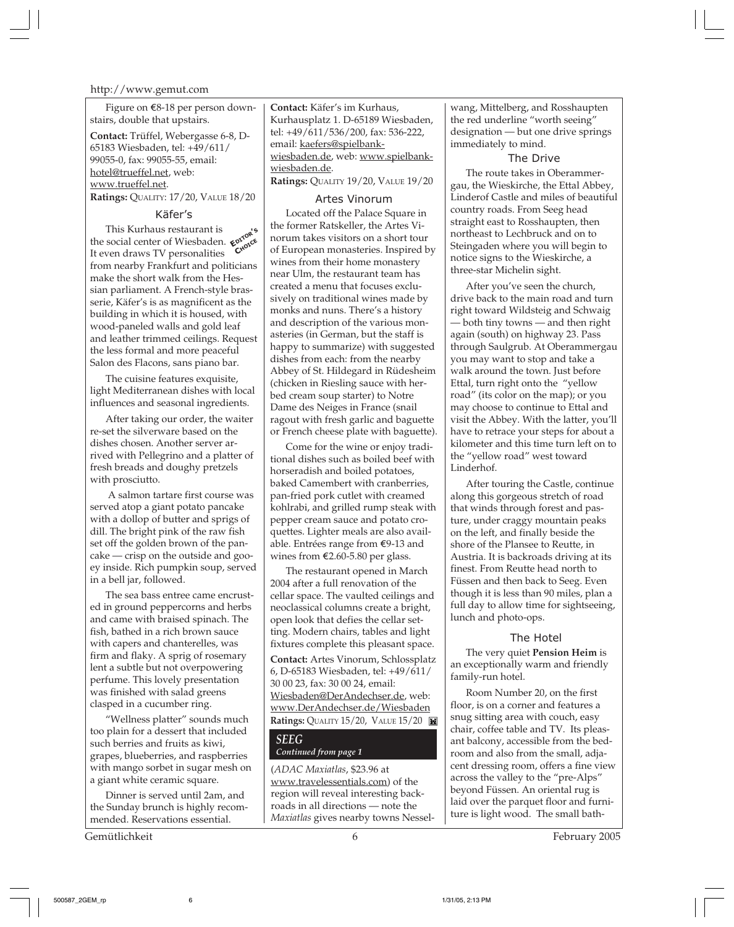Figure on  $\epsilon$ 8-18 per person downstairs, double that upstairs.

**Contact:** Trüffel, Webergasse 6-8, D-65183 Wiesbaden, tel: +49/611/ 99055-0, fax: 99055-55, email: hotel@trueffel.net, web: www.trueffel.net.

**Ratings:** QUALITY: 17/20, VALUE 18/20

#### Käfer's

This Kurhaus restaurant is the social center of Wiesbaden.  $\epsilon^{0}$ <sup>10</sup><sup>10</sup><sup>10</sup> It even draws TV personalities from nearby Frankfurt and politicians make the short walk from the Hessian parliament. A French-style brasserie, Käfer's is as magnificent as the building in which it is housed, with wood-paneled walls and gold leaf and leather trimmed ceilings. Request the less formal and more peaceful Salon des Flacons, sans piano bar. **EDITOR'<sup>S</sup> CHOICE**

The cuisine features exquisite, light Mediterranean dishes with local influences and seasonal ingredients.

After taking our order, the waiter re-set the silverware based on the dishes chosen. Another server arrived with Pellegrino and a platter of fresh breads and doughy pretzels with prosciutto.

 A salmon tartare first course was served atop a giant potato pancake with a dollop of butter and sprigs of dill. The bright pink of the raw fish set off the golden brown of the pancake — crisp on the outside and gooey inside. Rich pumpkin soup, served in a bell jar, followed.

The sea bass entree came encrusted in ground peppercorns and herbs and came with braised spinach. The fish, bathed in a rich brown sauce with capers and chanterelles, was firm and flaky. A sprig of rosemary lent a subtle but not overpowering perfume. This lovely presentation was finished with salad greens clasped in a cucumber ring.

"Wellness platter" sounds much too plain for a dessert that included such berries and fruits as kiwi, grapes, blueberries, and raspberries with mango sorbet in sugar mesh on a giant white ceramic square.

Dinner is served until 2am, and the Sunday brunch is highly recommended. Reservations essential.

Gemütlichkeit 6 February 2005

**Contact:** Käfer's im Kurhaus, Kurhausplatz 1. D-65189 Wiesbaden, tel: +49/611/536/200, fax: 536-222, email: kaefers@spielbankwiesbaden.de, web: www.spielbankwiesbaden.de. **Ratings:** QUALITY 19/20, VALUE 19/20

#### Artes Vinorum

Located off the Palace Square in the former Ratskeller, the Artes Vinorum takes visitors on a short tour of European monasteries. Inspired by wines from their home monastery near Ulm, the restaurant team has created a menu that focuses exclusively on traditional wines made by monks and nuns. There's a history and description of the various monasteries (in German, but the staff is happy to summarize) with suggested dishes from each: from the nearby Abbey of St. Hildegard in Rüdesheim (chicken in Riesling sauce with herbed cream soup starter) to Notre Dame des Neiges in France (snail ragout with fresh garlic and baguette or French cheese plate with baguette).

Come for the wine or enjoy traditional dishes such as boiled beef with horseradish and boiled potatoes, baked Camembert with cranberries, pan-fried pork cutlet with creamed kohlrabi, and grilled rump steak with pepper cream sauce and potato croquettes. Lighter meals are also available. Entrées range from  $\epsilon$ 9-13 and wines from  $\text{\textsterling}2.60\text{-}5.80$  per glass.

The restaurant opened in March 2004 after a full renovation of the cellar space. The vaulted ceilings and neoclassical columns create a bright, open look that defies the cellar setting. Modern chairs, tables and light fixtures complete this pleasant space.

**Contact:** Artes Vinorum, Schlossplatz 6, D-65183 Wiesbaden, tel: +49/611/ 30 00 23, fax: 30 00 24, email: Wiesbaden@DerAndechser.de, web: www.DerAndechser.de/Wiesbaden **Ratings:** QUALITY 15/20, VALUE 15/20

#### *SEEG*

#### *Continued from page 1*

(*ADAC Maxiatlas*, \$23.96 at www.travelessentials.com) of the region will reveal interesting backroads in all directions — note the *Maxiatlas* gives nearby towns Nessel-

wang, Mittelberg, and Rosshaupten the red underline "worth seeing" designation — but one drive springs immediately to mind.

The Drive The route takes in Oberammergau, the Wieskirche, the Ettal Abbey, Linderof Castle and miles of beautiful country roads. From Seeg head straight east to Rosshaupten, then northeast to Lechbruck and on to Steingaden where you will begin to notice signs to the Wieskirche, a three-star Michelin sight.

After you've seen the church, drive back to the main road and turn right toward Wildsteig and Schwaig — both tiny towns — and then right again (south) on highway 23. Pass through Saulgrub. At Oberammergau you may want to stop and take a walk around the town. Just before Ettal, turn right onto the "yellow road" (its color on the map); or you may choose to continue to Ettal and visit the Abbey. With the latter, you'll have to retrace your steps for about a kilometer and this time turn left on to the "yellow road" west toward Linderhof.

After touring the Castle, continue along this gorgeous stretch of road that winds through forest and pasture, under craggy mountain peaks on the left, and finally beside the shore of the Plansee to Reutte, in Austria. It is backroads driving at its finest. From Reutte head north to Füssen and then back to Seeg. Even though it is less than 90 miles, plan a full day to allow time for sightseeing, lunch and photo-ops.

#### The Hotel

The very quiet **Pension Heim** is an exceptionally warm and friendly family-run hotel.

Room Number 20, on the first floor, is on a corner and features a snug sitting area with couch, easy chair, coffee table and TV. Its pleasant balcony, accessible from the bedroom and also from the small, adjacent dressing room, offers a fine view across the valley to the "pre-Alps" beyond Füssen. An oriental rug is laid over the parquet floor and furniture is light wood. The small bath-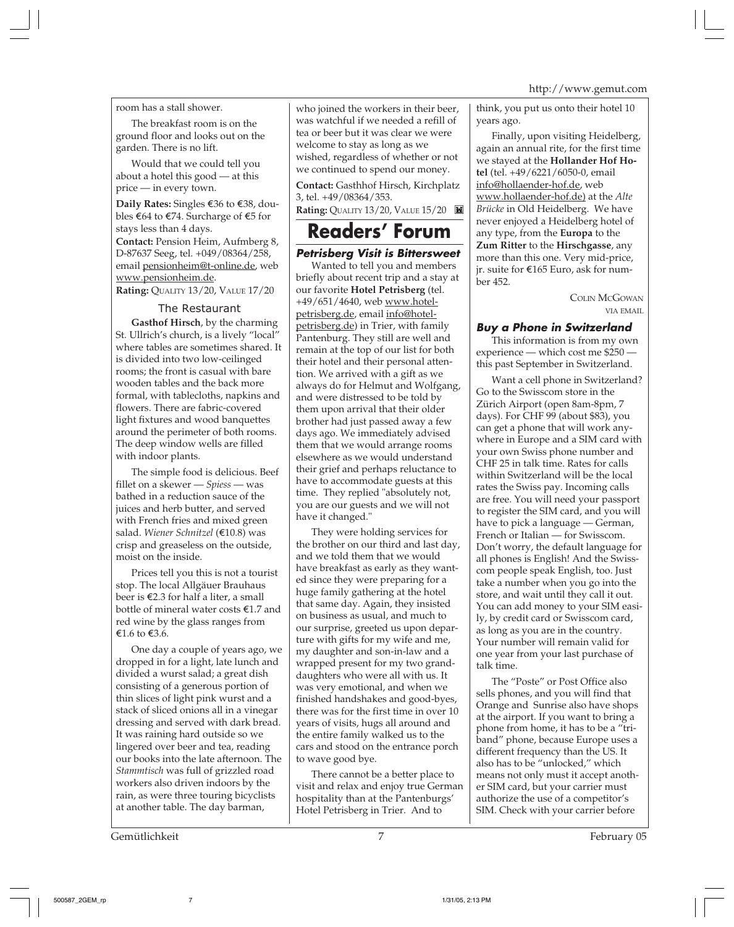#### room has a stall shower.

The breakfast room is on the ground floor and looks out on the garden. There is no lift.

Would that we could tell you about a hotel this good — at this price — in every town.

**Daily Rates:** Singles E36 to E38, doubles  $\epsilon$ 64 to  $\epsilon$ 74. Surcharge of  $\epsilon$ 5 for stays less than 4 days. **Contact:** Pension Heim, Aufmberg 8, D-87637 Seeg, tel. +049/08364/258, email pensionheim@t-online.de, web www.pensionheim.de.

**Rating:** QUALITY 13/20, VALUE 17/20

#### The Restaurant

**Gasthof Hirsch**, by the charming St. Ullrich's church, is a lively "local" where tables are sometimes shared. It is divided into two low-ceilinged rooms; the front is casual with bare wooden tables and the back more formal, with tablecloths, napkins and flowers. There are fabric-covered light fixtures and wood banquettes around the perimeter of both rooms. The deep window wells are filled with indoor plants.

The simple food is delicious. Beef fillet on a skewer — *Spiess* — was bathed in a reduction sauce of the juices and herb butter, and served with French fries and mixed green salad. *Wiener Schnitzel* (E10.8) was crisp and greaseless on the outside, moist on the inside.

Prices tell you this is not a tourist stop. The local Allgäuer Brauhaus beer is E2.3 for half a liter, a small bottle of mineral water costs  $€1.7$  and red wine by the glass ranges from €1.6 to  $€3.6$ .

One day a couple of years ago, we dropped in for a light, late lunch and divided a wurst salad; a great dish consisting of a generous portion of thin slices of light pink wurst and a stack of sliced onions all in a vinegar dressing and served with dark bread. It was raining hard outside so we lingered over beer and tea, reading our books into the late afternoon. The *Stammtisch* was full of grizzled road workers also driven indoors by the rain, as were three touring bicyclists at another table. The day barman,

who joined the workers in their beer, was watchful if we needed a refill of tea or beer but it was clear we were welcome to stay as long as we wished, regardless of whether or not we continued to spend our money.

**Contact:** Gasthhof Hirsch, Kirchplatz 3, tel. +49/08364/353.

**Rating:** QUALITY 13/20, VALUE 15/20

### **Readers' Forum**

#### **Petrisberg Visit is Bittersweet**

Wanted to tell you and members briefly about recent trip and a stay at our favorite **Hotel Petrisberg** (tel. +49/651/4640, web www.hotelpetrisberg.de, email info@hotelpetrisberg.de) in Trier, with family Pantenburg. They still are well and remain at the top of our list for both their hotel and their personal attention. We arrived with a gift as we always do for Helmut and Wolfgang, and were distressed to be told by them upon arrival that their older brother had just passed away a few days ago. We immediately advised them that we would arrange rooms elsewhere as we would understand their grief and perhaps reluctance to have to accommodate guests at this time. They replied "absolutely not, you are our guests and we will not have it changed."

They were holding services for the brother on our third and last day, and we told them that we would have breakfast as early as they wanted since they were preparing for a huge family gathering at the hotel that same day. Again, they insisted on business as usual, and much to our surprise, greeted us upon departure with gifts for my wife and me, my daughter and son-in-law and a wrapped present for my two granddaughters who were all with us. It was very emotional, and when we finished handshakes and good-byes, there was for the first time in over 10 years of visits, hugs all around and the entire family walked us to the cars and stood on the entrance porch to wave good bye.

There cannot be a better place to visit and relax and enjoy true German hospitality than at the Pantenburgs' Hotel Petrisberg in Trier. And to

think, you put us onto their hotel 10 years ago.

Finally, upon visiting Heidelberg, again an annual rite, for the first time we stayed at the **Hollander Hof Hotel** (tel. +49/6221/6050-0, email info@hollaender-hof.de, web www.hollaender-hof.de) at the *Alte Brücke* in Old Heidelberg. We have never enjoyed a Heidelberg hotel of any type, from the **Europa** to the **Zum Ritter** to the **Hirschgasse**, any more than this one. Very mid-price, jr. suite for E165 Euro, ask for number 452.

> COLIN MCGOWAN VIA EMAIL

#### **Buy a Phone in Switzerland**

This information is from my own experience — which cost me \$250 this past September in Switzerland.

Want a cell phone in Switzerland? Go to the Swisscom store in the Zürich Airport (open 8am-8pm, 7 days). For CHF 99 (about \$83), you can get a phone that will work anywhere in Europe and a SIM card with your own Swiss phone number and CHF 25 in talk time. Rates for calls within Switzerland will be the local rates the Swiss pay. Incoming calls are free. You will need your passport to register the SIM card, and you will have to pick a language — German, French or Italian — for Swisscom. Don't worry, the default language for all phones is English! And the Swisscom people speak English, too. Just take a number when you go into the store, and wait until they call it out. You can add money to your SIM easily, by credit card or Swisscom card, as long as you are in the country. Your number will remain valid for one year from your last purchase of talk time.

The "Poste" or Post Office also sells phones, and you will find that Orange and Sunrise also have shops at the airport. If you want to bring a phone from home, it has to be a "triband" phone, because Europe uses a different frequency than the US. It also has to be "unlocked," which means not only must it accept another SIM card, but your carrier must authorize the use of a competitor's SIM. Check with your carrier before

Gemütlichkeit February 05